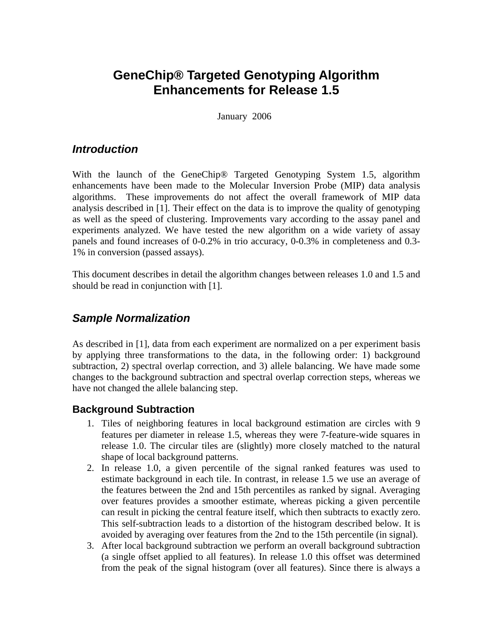# **GeneChip® Targeted Genotyping Algorithm Enhancements for Release 1.5**

January 2006

### *Introduction*

With the launch of the GeneChip® Targeted Genotyping System 1.5, algorithm enhancements have been made to the Molecular Inversion Probe (MIP) data analysis algorithms. These improvements do not affect the overall framework of MIP data analysis described in [1]. Their effect on the data is to improve the quality of genotyping as well as the speed of clustering. Improvements vary according to the assay panel and experiments analyzed. We have tested the new algorithm on a wide variety of assay panels and found increases of 0-0.2% in trio accuracy, 0-0.3% in completeness and 0.3- 1% in conversion (passed assays).

This document describes in detail the algorithm changes between releases 1.0 and 1.5 and should be read in conjunction with [1].

### *Sample Normalization*

As described in [1], data from each experiment are normalized on a per experiment basis by applying three transformations to the data, in the following order: 1) background subtraction, 2) spectral overlap correction, and 3) allele balancing. We have made some changes to the background subtraction and spectral overlap correction steps, whereas we have not changed the allele balancing step.

#### **Background Subtraction**

- 1. Tiles of neighboring features in local background estimation are circles with 9 features per diameter in release 1.5, whereas they were 7-feature-wide squares in release 1.0. The circular tiles are (slightly) more closely matched to the natural shape of local background patterns.
- 2. In release 1.0, a given percentile of the signal ranked features was used to estimate background in each tile. In contrast, in release 1.5 we use an average of the features between the 2nd and 15th percentiles as ranked by signal. Averaging over features provides a smoother estimate, whereas picking a given percentile can result in picking the central feature itself, which then subtracts to exactly zero. This self-subtraction leads to a distortion of the histogram described below. It is avoided by averaging over features from the 2nd to the 15th percentile (in signal).
- 3. After local background subtraction we perform an overall background subtraction (a single offset applied to all features). In release 1.0 this offset was determined from the peak of the signal histogram (over all features). Since there is always a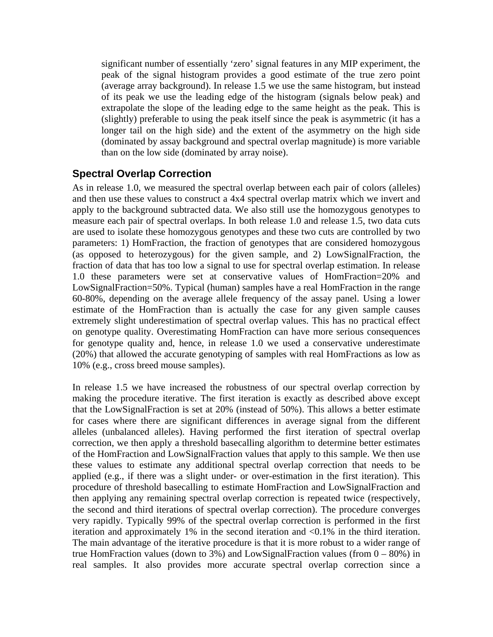significant number of essentially 'zero' signal features in any MIP experiment, the peak of the signal histogram provides a good estimate of the true zero point (average array background). In release 1.5 we use the same histogram, but instead of its peak we use the leading edge of the histogram (signals below peak) and extrapolate the slope of the leading edge to the same height as the peak. This is (slightly) preferable to using the peak itself since the peak is asymmetric (it has a longer tail on the high side) and the extent of the asymmetry on the high side (dominated by assay background and spectral overlap magnitude) is more variable than on the low side (dominated by array noise).

#### **Spectral Overlap Correction**

As in release 1.0, we measured the spectral overlap between each pair of colors (alleles) and then use these values to construct a 4x4 spectral overlap matrix which we invert and apply to the background subtracted data. We also still use the homozygous genotypes to measure each pair of spectral overlaps. In both release 1.0 and release 1.5, two data cuts are used to isolate these homozygous genotypes and these two cuts are controlled by two parameters: 1) HomFraction, the fraction of genotypes that are considered homozygous (as opposed to heterozygous) for the given sample, and 2) LowSignalFraction, the fraction of data that has too low a signal to use for spectral overlap estimation. In release 1.0 these parameters were set at conservative values of HomFraction=20% and LowSignalFraction=50%. Typical (human) samples have a real HomFraction in the range 60-80%, depending on the average allele frequency of the assay panel. Using a lower estimate of the HomFraction than is actually the case for any given sample causes extremely slight underestimation of spectral overlap values. This has no practical effect on genotype quality. Overestimating HomFraction can have more serious consequences for genotype quality and, hence, in release 1.0 we used a conservative underestimate (20%) that allowed the accurate genotyping of samples with real HomFractions as low as 10% (e.g., cross breed mouse samples).

In release 1.5 we have increased the robustness of our spectral overlap correction by making the procedure iterative. The first iteration is exactly as described above except that the LowSignalFraction is set at 20% (instead of 50%). This allows a better estimate for cases where there are significant differences in average signal from the different alleles (unbalanced alleles). Having performed the first iteration of spectral overlap correction, we then apply a threshold basecalling algorithm to determine better estimates of the HomFraction and LowSignalFraction values that apply to this sample. We then use these values to estimate any additional spectral overlap correction that needs to be applied (e.g., if there was a slight under- or over-estimation in the first iteration). This procedure of threshold basecalling to estimate HomFraction and LowSignalFraction and then applying any remaining spectral overlap correction is repeated twice (respectively, the second and third iterations of spectral overlap correction). The procedure converges very rapidly. Typically 99% of the spectral overlap correction is performed in the first iteration and approximately 1% in the second iteration and <0.1% in the third iteration. The main advantage of the iterative procedure is that it is more robust to a wider range of true HomFraction values (down to 3%) and LowSignalFraction values (from  $0 - 80\%$ ) in real samples. It also provides more accurate spectral overlap correction since a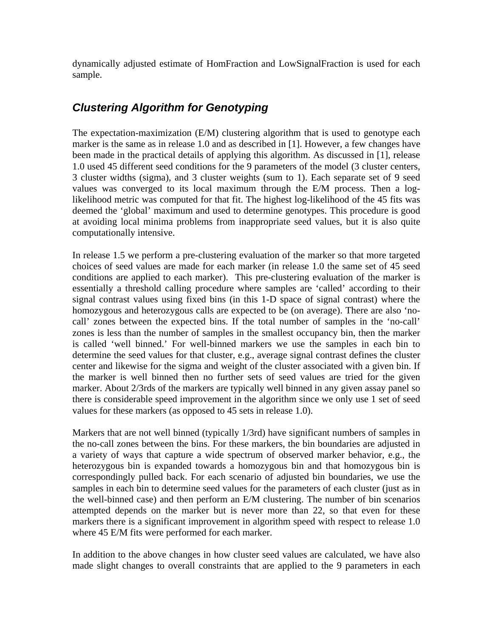dynamically adjusted estimate of HomFraction and LowSignalFraction is used for each sample.

# *Clustering Algorithm for Genotyping*

The expectation-maximization (E/M) clustering algorithm that is used to genotype each marker is the same as in release 1.0 and as described in [1]. However, a few changes have been made in the practical details of applying this algorithm. As discussed in [1], release 1.0 used 45 different seed conditions for the 9 parameters of the model (3 cluster centers, 3 cluster widths (sigma), and 3 cluster weights (sum to 1). Each separate set of 9 seed values was converged to its local maximum through the E/M process. Then a loglikelihood metric was computed for that fit. The highest log-likelihood of the 45 fits was deemed the 'global' maximum and used to determine genotypes. This procedure is good at avoiding local minima problems from inappropriate seed values, but it is also quite computationally intensive.

In release 1.5 we perform a pre-clustering evaluation of the marker so that more targeted choices of seed values are made for each marker (in release 1.0 the same set of 45 seed conditions are applied to each marker). This pre-clustering evaluation of the marker is essentially a threshold calling procedure where samples are 'called' according to their signal contrast values using fixed bins (in this 1-D space of signal contrast) where the homozygous and heterozygous calls are expected to be (on average). There are also 'nocall' zones between the expected bins. If the total number of samples in the 'no-call' zones is less than the number of samples in the smallest occupancy bin, then the marker is called 'well binned.' For well-binned markers we use the samples in each bin to determine the seed values for that cluster, e.g., average signal contrast defines the cluster center and likewise for the sigma and weight of the cluster associated with a given bin. If the marker is well binned then no further sets of seed values are tried for the given marker. About 2/3rds of the markers are typically well binned in any given assay panel so there is considerable speed improvement in the algorithm since we only use 1 set of seed values for these markers (as opposed to 45 sets in release 1.0).

Markers that are not well binned (typically 1/3rd) have significant numbers of samples in the no-call zones between the bins. For these markers, the bin boundaries are adjusted in a variety of ways that capture a wide spectrum of observed marker behavior, e.g., the heterozygous bin is expanded towards a homozygous bin and that homozygous bin is correspondingly pulled back. For each scenario of adjusted bin boundaries, we use the samples in each bin to determine seed values for the parameters of each cluster (just as in the well-binned case) and then perform an E/M clustering. The number of bin scenarios attempted depends on the marker but is never more than 22, so that even for these markers there is a significant improvement in algorithm speed with respect to release 1.0 where 45 E/M fits were performed for each marker.

In addition to the above changes in how cluster seed values are calculated, we have also made slight changes to overall constraints that are applied to the 9 parameters in each